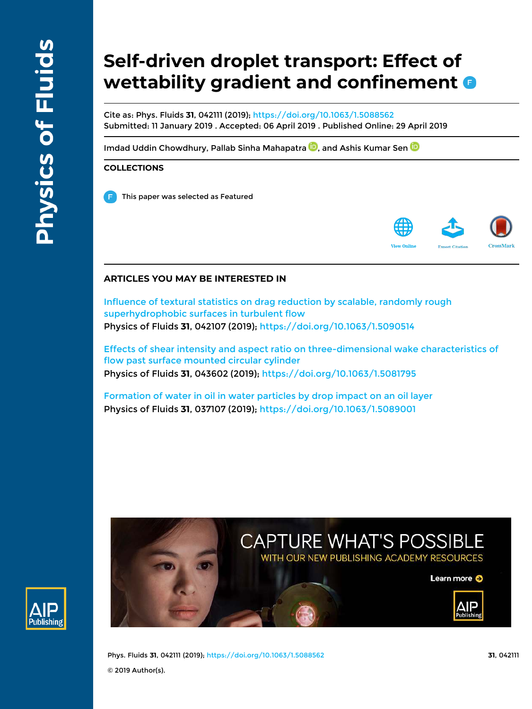# **Self-driven droplet transport: Effect of wettability gradient and confinement**

Cite as: Phys. Fluids **31**, 042111 (2019); https://doi.org/10.1063/1.5088562 Submitted: 11 January 2019 . Accepted: 06 April 2019 . Published Online: 29 April 2019

Imdad Uddin Chowdhury, Pallab Sinha Mahapatra **D**, and Ashis Kumar Sen **D** 

# **COLLECTIONS**

This paper was selected as Featured



# **ARTICLES YOU MAY BE INTERESTED IN**

Influence of textural statistics on drag reduction by scalable, randomly rough superhydrophobic surfaces in turbulent flow Physics of Fluids **31**, 042107 (2019); https://doi.org/10.1063/1.5090514

Effects of shear intensity and aspect ratio on three-dimensional wake characteristics of flow past surface mounted circular cylinder Physics of Fluids **31**, 043602 (2019); https://doi.org/10.1063/1.5081795

Formation of water in oil in water particles by drop impact on an oil layer Physics of Fluids **31**, 037107 (2019); https://doi.org/10.1063/1.5089001





Phys. Fluids **31**, 042111 (2019); https://doi.org/10.1063/1.5088562 **31**, 042111 © 2019 Author(s).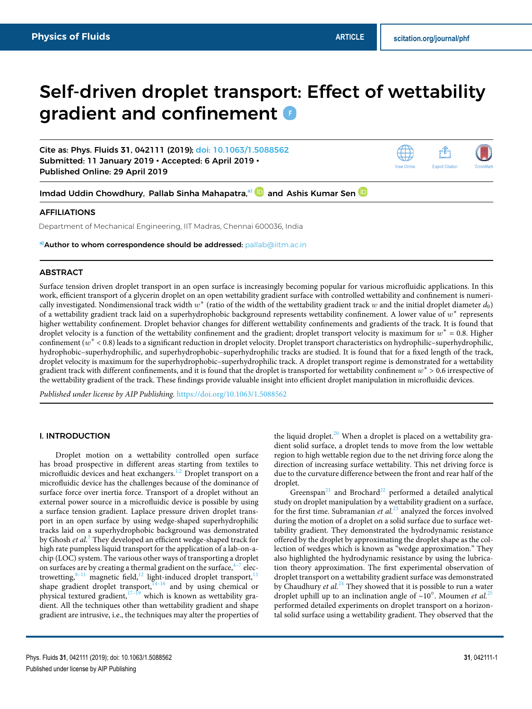# Self-driven droplet transport: Effect of wettability gradient and confinement  $\bullet$

Cite as: Phys. Fluids **31**, 042111 (2019); doi: 10.1063/1.5088562 Submitted: 11 January 2019 • Accepted: 6 April 2019 • Published Online: 29 April 2019



Imdad Uddin Chowdhury, Pallab Sinha Mahapatra,<sup>a)</sup> and Ashis Kumar Sen

# AFFILIATIONS

Department of Mechanical Engineering, IIT Madras, Chennai 600036, India

**a)**Author to whom correspondence should be addressed: pallab@iitm.ac.in

# ABSTRACT

Surface tension driven droplet transport in an open surface is increasingly becoming popular for various microfluidic applications. In this work, efficient transport of a glycerin droplet on an open wettability gradient surface with controlled wettability and confinement is numerically investigated. Nondimensional track width  $w^*$  (ratio of the width of the wettability gradient track  $w$  and the initial droplet diameter  $d_0$ ) of a wettability gradient track laid on a superhydrophobic background represents wettability confinement. A lower value of  $w^*$  represents higher wettability confinement. Droplet behavior changes for different wettability confinements and gradients of the track. It is found that droplet velocity is a function of the wettability confinement and the gradient; droplet transport velocity is maximum for  $w^* = 0.8$ . Higher confinement  $(w^* < 0.8)$  leads to a significant reduction in droplet velocity. Droplet transport characteristics on hydrophilic–superhydrophilic, hydrophobic–superhydrophilic, and superhydrophobic–superhydrophilic tracks are studied. It is found that for a fixed length of the track, droplet velocity is maximum for the superhydrophobic–superhydrophilic track. A droplet transport regime is demonstrated for a wettability gradient track with different confinements, and it is found that the droplet is transported for wettability confinement  $w^* > 0.6$  irrespective of the wettability gradient of the track. These findings provide valuable insight into efficient droplet manipulation in microfluidic devices.

Published under license by AIP Publishing. https://doi.org/10.1063/1.5088562

#### I. INTRODUCTION

Droplet motion on a wettability controlled open surface has broad prospective in different areas starting from textiles to microfluidic devices and heat exchangers.<sup>1,2</sup> Droplet transport on a microfluidic device has the challenges because of the dominance of surface force over inertia force. Transport of a droplet without an external power source in a microfluidic device is possible by using a surface tension gradient. Laplace pressure driven droplet transport in an open surface by using wedge-shaped superhydrophilic tracks laid on a superhydrophobic background was demonstrated by Ghosh et al.<sup>3</sup> They developed an efficient wedge-shaped track for high rate pumpless liquid transport for the application of a lab-on-achip (LOC) system. The various other ways of transporting a droplet on surfaces are by creating a thermal gradient on the surface, $4\frac{4}{7}$  electrowetting,  $8-11$  magnetic field,  $12$  light-induced droplet transport,  $13$ shape gradient droplet transport, $14-16$  and by using chemical or physical textured gradient, $17-19$  which is known as wettability gradient. All the techniques other than wettability gradient and shape gradient are intrusive, i.e., the techniques may alter the properties of

the liquid droplet.<sup>20</sup> When a droplet is placed on a wettability gradient solid surface, a droplet tends to move from the low wettable region to high wettable region due to the net driving force along the direction of increasing surface wettability. This net driving force is due to the curvature difference between the front and rear half of the droplet.

Greenspan<sup>21</sup> and Brochard<sup>22</sup> performed a detailed analytical study on droplet manipulation by a wettability gradient on a surface, for the first time. Subramanian et  $al^{23}$  analyzed the forces involved during the motion of a droplet on a solid surface due to surface wettability gradient. They demonstrated the hydrodynamic resistance offered by the droplet by approximating the droplet shape as the collection of wedges which is known as "wedge approximation." They also highlighted the hydrodynamic resistance by using the lubrication theory approximation. The first experimental observation of droplet transport on a wettability gradient surface was demonstrated by Chaudhury et  $al.^{24}$  They showed that it is possible to run a water droplet uphill up to an inclination angle of ~10°. Moumen *et al.*<sup>25</sup> performed detailed experiments on droplet transport on a horizontal solid surface using a wettability gradient. They observed that the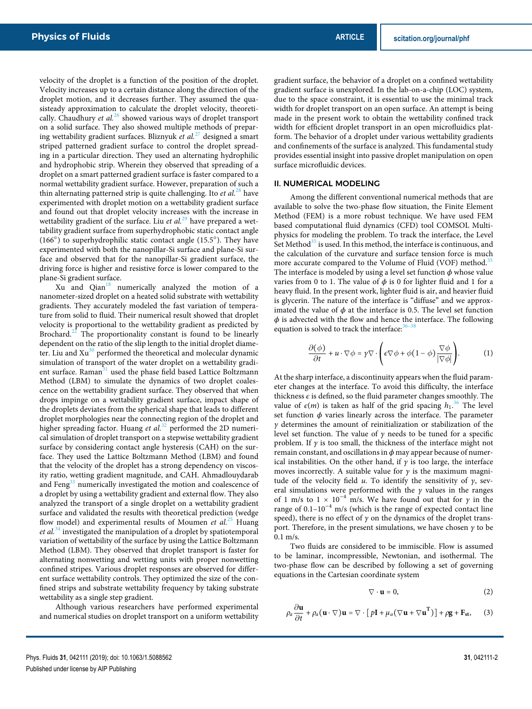velocity of the droplet is a function of the position of the droplet. Velocity increases up to a certain distance along the direction of the droplet motion, and it decreases further. They assumed the quasisteady approximation to calculate the droplet velocity, theoretically. Chaudhury et  $al^{26}$  showed various ways of droplet transport on a solid surface. They also showed multiple methods of preparing wettability gradient surfaces. Bliznyuk et  $al$ <sup>27</sup> designed a smart striped patterned gradient surface to control the droplet spreading in a particular direction. They used an alternating hydrophilic and hydrophobic strip. Wherein they observed that spreading of a droplet on a smart patterned gradient surface is faster compared to a normal wettability gradient surface. However, preparation of such a thin alternating patterned strip is quite challenging. Ito *et al.*<sup>28</sup> have experimented with droplet motion on a wettability gradient surface and found out that droplet velocity increases with the increase in wettability gradient of the surface. Liu et  $al.^{29}$  have prepared a wettability gradient surface from superhydrophobic static contact angle (166○ ) to superhydrophilic static contact angle (15.5○ ). They have experimented with both the nanopillar-Si surface and plane-Si surface and observed that for the nanopillar-Si gradient surface, the driving force is higher and resistive force is lower compared to the plane-Si gradient surface.

Xu and Qian<sup>18</sup> numerically analyzed the motion of a nanometer-sized droplet on a heated solid substrate with wettability gradients. They accurately modeled the fast variation of temperature from solid to fluid. Their numerical result showed that droplet velocity is proportional to the wettability gradient as predicted by Brochard.<sup>22</sup> The proportionality constant is found to be linearly dependent on the ratio of the slip length to the initial droplet diameter. Liu and  $Xu^{30}$  performed the theoretical and molecular dynamic simulation of transport of the water droplet on a wettability gradient surface. Raman<sup>31</sup> used the phase field based Lattice Boltzmann Method (LBM) to simulate the dynamics of two droplet coalescence on the wettability gradient surface. They observed that when drops impinge on a wettability gradient surface, impact shape of the droplets deviates from the spherical shape that leads to different droplet morphologies near the connecting region of the droplet and higher spreading factor. Huang et  $al.^{32}$  performed the 2D numerical simulation of droplet transport on a stepwise wettability gradient surface by considering contact angle hysteresis (CAH) on the surface. They used the Lattice Boltzmann Method (LBM) and found that the velocity of the droplet has a strong dependency on viscosity ratio, wetting gradient magnitude, and CAH. Ahmadlouydarab and Feng<sup>33</sup> numerically investigated the motion and coalescence of a droplet by using a wettability gradient and external flow. They also analyzed the transport of a single droplet on a wettability gradient surface and validated the results with theoretical prediction (wedge flow model) and experimental results of Moumen et  $al^{25}$  Huang *et al.*<sup>34</sup> investigated the manipulation of a droplet by spatiotemporal variation of wettability of the surface by using the Lattice Boltzmann Method (LBM). They observed that droplet transport is faster for alternating nonwetting and wetting units with proper nonwetting confined stripes. Various droplet responses are observed for different surface wettability controls. They optimized the size of the confined strips and substrate wettability frequency by taking substrate wettability as a single step gradient.

Although various researchers have performed experimental and numerical studies on droplet transport on a uniform wettability gradient surface, the behavior of a droplet on a confined wettability gradient surface is unexplored. In the lab-on-a-chip (LOC) system, due to the space constraint, it is essential to use the minimal track width for droplet transport on an open surface. An attempt is being made in the present work to obtain the wettability confined track width for efficient droplet transport in an open microfluidics platform. The behavior of a droplet under various wettability gradients and confinements of the surface is analyzed. This fundamental study provides essential insight into passive droplet manipulation on open surface microfluidic devices.

#### II. NUMERICAL MODELING

Among the different conventional numerical methods that are available to solve the two-phase flow situation, the Finite Element Method (FEM) is a more robust technique. We have used FEM based computational fluid dynamics (CFD) tool COMSOL Multiphysics for modeling the problem. To track the interface, the Level Set Method $35$  is used. In this method, the interface is continuous, and the calculation of the curvature and surface tension force is much more accurate compared to the Volume of Fluid (VOF) method.<sup>3</sup> The interface is modeled by using a level set function  $\phi$  whose value varies from 0 to 1. The value of  $\phi$  is 0 for lighter fluid and 1 for a heavy fluid. In the present work, lighter fluid is air, and heavier fluid is glycerin. The nature of the interface is "diffuse" and we approximated the value of  $\phi$  at the interface is 0.5. The level set function  $\phi$  is advected with the flow and hence the interface. The following equation is solved to track the interface:<sup>3</sup>

$$
\frac{\partial(\phi)}{\partial t} + u \cdot \nabla \phi = \gamma \nabla \cdot \left( \epsilon \nabla \phi + \phi (1 - \phi) \frac{\nabla \phi}{|\nabla \phi|} \right). \tag{1}
$$

At the sharp interface, a discontinuity appears when the fluid parameter changes at the interface. To avoid this difficulty, the interface thickness  $\epsilon$  is defined, so the fluid parameter changes smoothly. The value of  $\epsilon(m)$  is taken as half of the grid spacing  $h_1$ .<sup>36</sup> The level set function  $\phi$  varies linearly across the interface. The parameter  $\gamma$  determines the amount of reinitialization or stabilization of the level set function. The value of  $\gamma$  needs to be tuned for a specific problem. If  $\gamma$  is too small, the thickness of the interface might not remain constant, and oscillations in  $\phi$  may appear because of numerical instabilities. On the other hand, if  $\gamma$  is too large, the interface moves incorrectly. A suitable value for  $\gamma$  is the maximum magnitude of the velocity field u. To identify the sensitivity of  $\gamma$ , several simulations were performed with the  $\gamma$  values in the ranges of 1 m/s to 1 × 10<sup>-4</sup> m/s. We have found out that for  $\gamma$  in the range of  $0.1-10^{-4}$  m/s (which is the range of expected contact line speed), there is no effect of  $\gamma$  on the dynamics of the droplet transport. Therefore, in the present simulations, we have chosen  $\gamma$  to be 0.1 m/s.

Two fluids are considered to be immiscible. Flow is assumed to be laminar, incompressible, Newtonian, and isothermal. The two-phase flow can be described by following a set of governing equations in the Cartesian coordinate system

$$
\nabla \cdot \mathbf{u} = 0, \tag{2}
$$

$$
\rho_a \frac{\partial \mathbf{u}}{\partial t} + \rho_a (\mathbf{u} \cdot \nabla) \mathbf{u} = \nabla \cdot [p\mathbf{I} + \mu_a (\nabla \mathbf{u} + \nabla \mathbf{u}^{\mathrm{T}})] + \rho \mathbf{g} + \mathbf{F}_{\mathrm{st}}, \qquad (3)
$$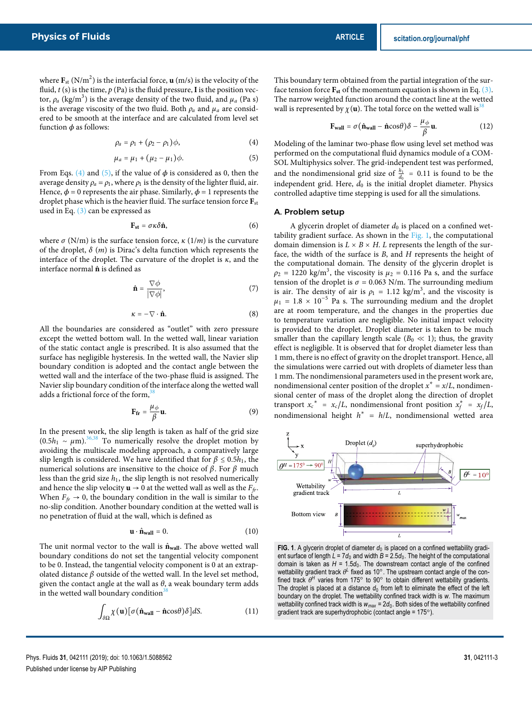where  $\mathbf{F}_{\text{st}}$  (N/m<sup>2</sup>) is the interfacial force, **u** (m/s) is the velocity of the fluid,  $t$  (s) is the time,  $p$  (Pa) is the fluid pressure, **I** is the position vector,  $\rho_a$  (kg/m<sup>3</sup>) is the average density of the two fluid, and  $\mu_a$  (Pa s) is the average viscosity of the two fluid. Both  $\rho_a$  and  $\mu_a$  are considered to be smooth at the interface and are calculated from level set function  $\phi$  as follows:

$$
\rho_a = \rho_1 + (\rho_2 - \rho_1)\phi, \qquad (4)
$$

$$
\mu_a = \mu_1 + (\mu_2 - \mu_1)\phi.
$$
 (5)

From Eqs. (4) and (5), if the value of  $\phi$  is considered as 0, then the average density  $\rho_a = \rho_1$ , where  $\rho_1$  is the density of the lighter fluid, air. Hence,  $\phi = 0$  represents the air phase. Similarly,  $\phi = 1$  represents the droplet phase which is the heavier fluid. The surface tension force **F**st used in Eq. (3) can be expressed as

$$
\mathbf{F}_{\mathbf{st}} = \sigma \kappa \delta \hat{\mathbf{n}},\tag{6}
$$

where  $\sigma$  (N/m) is the surface tension force,  $\kappa$  (1/m) is the curvature of the droplet,  $\delta$  (*m*) is Dirac's delta function which represents the interface of the droplet. The curvature of the droplet is  $\kappa$ , and the interface normal  $\hat{\bf{n}}$  is defined as

$$
\hat{\mathbf{n}} = \frac{\nabla \phi}{|\nabla \phi|},\tag{7}
$$

$$
\kappa = -\nabla \cdot \hat{\mathbf{n}}.\tag{8}
$$

All the boundaries are considered as "outlet" with zero pressure except the wetted bottom wall. In the wetted wall, linear variation of the static contact angle is prescribed. It is also assumed that the surface has negligible hysteresis. In the wetted wall, the Navier slip boundary condition is adopted and the contact angle between the wetted wall and the interface of the two-phase fluid is assigned. The Navier slip boundary condition of the interface along the wetted wall adds a frictional force of the form,

$$
\mathbf{F}_{\mathbf{fr}} = \frac{\mu_{\phi}}{\beta} \mathbf{u}.\tag{9}
$$

In the present work, the slip length is taken as half of the grid size  $(0.5h_1 \sim \mu \text{m})^{36,38}$  To numerically resolve the droplet motion by avoiding the multiscale modeling approach, a comparatively large slip length is considered. We have identified that for  $\beta \leq 0.5h_1$ , the numerical solutions are insensitive to the choice of  $β$ . For  $β$  much less than the grid size  $h_1$ , the slip length is not resolved numerically and hence the slip velocity  $\mathbf{u} \to 0$  at the wetted wall as well as the  $F_f$ . When  $F_f \rightarrow 0$ , the boundary condition in the wall is similar to the no-slip condition. Another boundary condition at the wetted wall is no penetration of fluid at the wall, which is defined as

$$
\mathbf{u} \cdot \hat{\mathbf{n}}_{\text{wall}} = 0. \tag{10}
$$

The unit normal vector to the wall is  $\hat{\bf{n}}_{wall}$ . The above wetted wall boundary conditions do not set the tangential velocity component to be 0. Instead, the tangential velocity component is 0 at an extrapolated distance  $\beta$  outside of the wetted wall. In the level set method, given the contact angle at the wall as  $\theta$ , a weak boundary term adds in the wetted wall boundary condition<sup>38</sup>

$$
\int_{\delta\Omega} \chi(\mathbf{u}) [\sigma(\hat{\mathbf{n}}_{\text{wall}} - \hat{\mathbf{n}}\cos\theta)\delta] dS. \tag{11}
$$

This boundary term obtained from the partial integration of the surface tension force  $\mathbf{F}_{\rm st}$  of the momentum equation is shown in Eq. (3). The narrow weighted function around the contact line at the wetted wall is represented by  $\chi(\mathbf{u})$ . The total force on the wetted wall is<sup>31</sup>

$$
\mathbf{F}_{\text{wall}} = \sigma (\hat{\mathbf{n}}_{\text{wall}} - \hat{\mathbf{n}} \cos \theta) \delta - \frac{\mu_{\phi}}{\beta} \mathbf{u}.
$$
 (12)

Modeling of the laminar two-phase flow using level set method was performed on the computational fluid dynamics module of a COM-SOL Multiphysics solver. The grid-independent test was performed, and the nondimensional grid size of  $\frac{h_1}{d_0}$  = 0.11 is found to be the independent grid. Here,  $d_0$  is the initial droplet diameter. Physics controlled adaptive time stepping is used for all the simulations.

## A. Problem setup

A glycerin droplet of diameter  $d_0$  is placed on a confined wettability gradient surface. As shown in the Fig. 1, the computational domain dimension is  $L \times B \times H$ . L represents the length of the surface, the width of the surface is B, and H represents the height of the computational domain. The density of the glycerin droplet is  $\rho_2 = 1220 \text{ kg/m}^3$ , the viscosity is  $\mu_2 = 0.116 \text{ Pa/s}$ , and the surface tension of the droplet is  $\sigma = 0.063$  N/m. The surrounding medium is air. The density of air is  $\rho_1 = 1.12 \text{ kg/m}^3$ , and the viscosity is  $\mu_1 = 1.8 \times 10^{-5}$  Pa s. The surrounding medium and the droplet are at room temperature, and the changes in the properties due to temperature variation are negligible. No initial impact velocity is provided to the droplet. Droplet diameter is taken to be much smaller than the capillary length scale ( $B_0 \ll 1$ ); thus, the gravity effect is negligible. It is observed that for droplet diameter less than 1 mm, there is no effect of gravity on the droplet transport. Hence, all the simulations were carried out with droplets of diameter less than 1 mm. The nondimensional parameters used in the present work are, nondimensional center position of the droplet  $x^* = x/L$ , nondimensional center of mass of the droplet along the direction of droplet transport  $x_c^* = x_c/L$ , nondimensional front position  $x_f^* = x_f/L$ , nondimensional height  $h^* = h/L$ , nondimensional wetted area



**FIG. 1.** A glycerin droplet of diameter  $d_0$  is placed on a confined wettability gradient surface of length  $L = 7d_0$  and width  $B = 2.5d_0$ . The height of the computational domain is taken as  $H = 1.5d_0$ . The downstream contact angle of the confined wettability gradient track θ<sup>L</sup> fixed as 10°. The upstream contact angle of the confined track  $\theta^H$  varies from 175° to 90° to obtain different wettability gradients. The droplet is placed at a distance  $d_0$  from left to eliminate the effect of the left boundary on the droplet. The wettability confined track width is *w*. The maximum wettability confined track width is  $w_{max} = 2d_0$ . Both sides of the wettability confined gradient track are superhydrophobic (contact angle = 175°).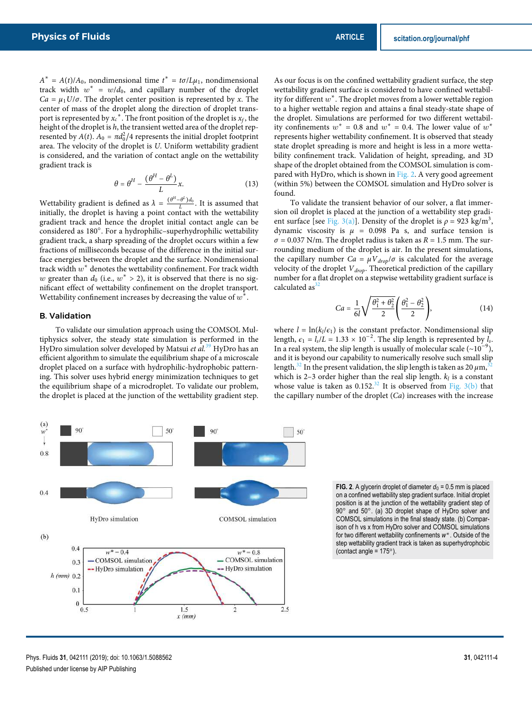$A^* = A(t)/A_0$ , nondimensional time  $t^* = t\sigma/L\mu_1$ , nondimensional track width  $w^* = w/d_0$ , and capillary number of the droplet  $Ca = \mu_1 U/\sigma$ . The droplet center position is represented by x. The center of mass of the droplet along the direction of droplet transport is represented by  $x_c$ <sup>\*</sup>. The front position of the droplet is  $x_f$ , the height of the droplet is h, the transient wetted area of the droplet represented by  $A(t)$ .  $A_0 = \pi d_0^2/4$  represents the initial droplet footprint area. The velocity of the droplet is U. Uniform wettability gradient is considered, and the variation of contact angle on the wettability gradient track is

$$
\theta = \theta^H - \frac{(\theta^H - \theta^L)}{L} x.
$$
 (13)

Wettability gradient is defined as  $\lambda = \frac{(\theta^H - \theta^L)d_0}{L}$ . It is assumed that initially, the droplet is having a point contact with the wettability gradient track and hence the droplet initial contact angle can be considered as 180○ . For a hydrophilic–superhydrophilic wettability gradient track, a sharp spreading of the droplet occurs within a few fractions of milliseconds because of the difference in the initial surface energies between the droplet and the surface. Nondimensional track width  $w^*$  denotes the wettability confinement. For track width w greater than  $d_0$  (i.e.,  $w^* > 2$ ), it is observed that there is no significant effect of wettability confinement on the droplet transport. Wettability confinement increases by decreasing the value of  $w^*$ .

#### B. Validation

90

 $(a)$ 

To validate our simulation approach using the COMSOL Multiphysics solver, the steady state simulation is performed in the HyDro simulation solver developed by Matsui et  $al.^{39}$  HyDro has an efficient algorithm to simulate the equilibrium shape of a microscale droplet placed on a surface with hydrophilic-hydrophobic patterning. This solver uses hybrid energy minimization techniques to get the equilibrium shape of a microdroplet. To validate our problem, the droplet is placed at the junction of the wettability gradient step.

50

As our focus is on the confined wettability gradient surface, the step wettability gradient surface is considered to have confined wettability for different  $w^*$ . The droplet moves from a lower wettable region to a higher wettable region and attains a final steady-state shape of the droplet. Simulations are performed for two different wettability confinements  $w^* = 0.8$  and  $w^* = 0.4$ . The lower value of  $w^*$ represents higher wettability confinement. It is observed that steady state droplet spreading is more and height is less in a more wettability confinement track. Validation of height, spreading, and 3D shape of the droplet obtained from the COMSOL simulation is compared with HyDro, which is shown in Fig. 2. A very good agreement (within 5%) between the COMSOL simulation and HyDro solver is found.

To validate the transient behavior of our solver, a flat immersion oil droplet is placed at the junction of a wettability step gradient surface [see Fig. 3(a)]. Density of the droplet is  $\rho = 923 \text{ kg/m}^3$ , dynamic viscosity is  $\mu$  = 0.098 Pa s, and surface tension is  $\sigma$  = 0.037 N/m. The droplet radius is taken as  $R = 1.5$  mm. The surrounding medium of the droplet is air. In the present simulations, the capillary number  $Ca = \mu V_{drop}/\sigma$  is calculated for the average velocity of the droplet  $V_{drop}$ . Theoretical prediction of the capillary number for a flat droplet on a stepwise wettability gradient surface is calculated as<sup>3</sup>

$$
Ca = \frac{1}{6l} \sqrt{\frac{\theta_1^2 + \theta_2^2}{2}} \left( \frac{\theta_1^2 - \theta_2^2}{2} \right),
$$
 (14)

where  $l = \ln(k_l/\epsilon_1)$  is the constant prefactor. Nondimensional slip length,  $\epsilon_1 = l_s/L = 1.33 \times 10^{-2}$ . The slip length is represented by  $l_s$ . In a real system, the slip length is usually of molecular scale (~10<sup>-9</sup>), and it is beyond our capability to numerically resolve such small slip length.<sup>32</sup> In the present validation, the slip length is taken as 20  $\mu$ m,<sup>3</sup> which is 2–3 order higher than the real slip length.  $k_l$  is a constant whose value is taken as  $0.152<sup>32</sup>$  It is observed from Fig. 3(b) that the capillary number of the droplet  $(Ca)$  increases with the increase



90

50

**FIG. 2.** A glycerin droplet of diameter  $d_0 = 0.5$  mm is placed on a confined wettability step gradient surface. Initial droplet position is at the junction of the wettability gradient step of .<br>90° and 50°. (a) 3D droplet shape of HyDro solver and COMSOL simulations in the final steady state. (b) Comparison of h vs x from HyDro solver and COMSOL simulations for two different wettability confinements *w* ∗ . Outside of the step wettability gradient track is taken as superhydrophobic (contact angle =  $175^{\circ}$ ).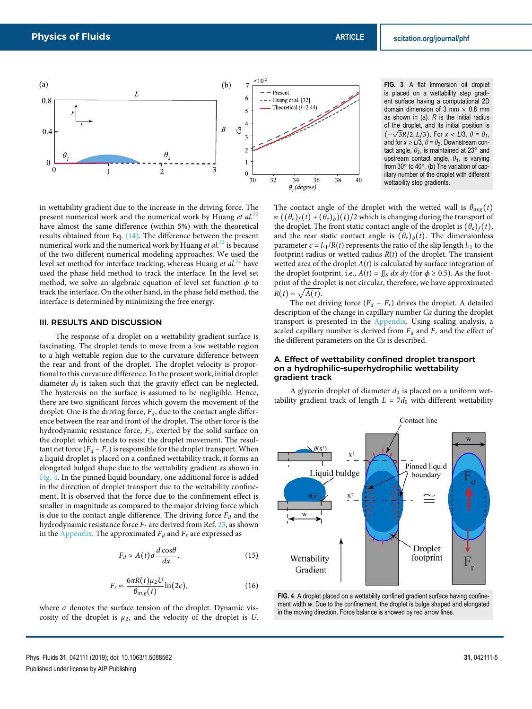

**FIG. 3**. A flat immersion oil droplet is placed on a wettability step gradient surface having a computational 2D domain dimension of 3 mm  $\times$  0.8 mm as shown in (a). *R* is the initial radius of the droplet, and its initial position is (−√ 3R/2, L/3). For *x* < *L*/3, θ = θ1, and for  $x \ge L/3$ ,  $\theta = \theta_2$ . Downstream contact angle,  $\theta_2$ , is maintained at 23° and upstream contact angle,  $\theta_1$ , is varying from 30° to 40°. (b) The variation of capillary number of the droplet with different wettability step gradients.

in wettability gradient due to the increase in the driving force. The present numerical work and the numerical work by Huang et  $al$ .<sup>32</sup> have almost the same difference (within 5%) with the theoretical results obtained from Eq. (14). The difference between the present numerical work and the numerical work by Huang et  $al.^{32}$  is because of the two different numerical modeling approaches. We used the level set method for interface tracking, whereas Huang et  $al^{32}$  have used the phase field method to track the interface. In the level set method, we solve an algebraic equation of level set function  $\phi$  to track the interface. On the other hand, in the phase field method, the interface is determined by minimizing the free energy.

#### III. RESULTS AND DISCUSSION

The response of a droplet on a wettability gradient surface is fascinating. The droplet tends to move from a low wettable region to a high wettable region due to the curvature difference between the rear and front of the droplet. The droplet velocity is proportional to this curvature difference. In the present work, initial droplet diameter  $d_0$  is taken such that the gravity effect can be neglected. The hysteresis on the surface is assumed to be negligible. Hence, there are two significant forces which govern the movement of the droplet. One is the driving force,  $F_d$ , due to the contact angle difference between the rear and front of the droplet. The other force is the hydrodynamic resistance force,  $F_r$ , exerted by the solid surface on the droplet which tends to resist the droplet movement. The resultant net force  $(F_d - F_r)$  is responsible for the droplet transport. When a liquid droplet is placed on a confined wettability track, it forms an elongated bulged shape due to the wettability gradient as shown in Fig. 4. In the pinned liquid boundary, one additional force is added in the direction of droplet transport due to the wettability confinement. It is observed that the force due to the confinement effect is smaller in magnitude as compared to the major driving force which is due to the contact angle difference. The driving force  $F_d$  and the hydrodynamic resistance force  $F_r$  are derived from Ref. 23, as shown in the Appendix. The approximated  $F_d$  and  $F_r$  are expressed as

$$
F_d \approx A(t)\sigma \frac{d\cos\theta}{dx},\tag{15}
$$

$$
F_r \approx \frac{6\pi R(t)\mu_2 U}{\theta_{avg}(t)} \ln(2\epsilon),\tag{16}
$$

where  $\sigma$  denotes the surface tension of the droplet. Dynamic viscosity of the droplet is  $\mu_2$ , and the velocity of the droplet is U. The contact angle of the droplet with the wetted wall is  $\theta_{avg}(t)$  $\approx ((\theta_e)_f(t) + (\theta_e)_b)(t)/2$  which is changing during the transport of the droplet. The front static contact angle of the droplet is  $(\theta_e)_f(t)$ , and the rear static contact angle is  $(\theta_e)_b(t)$ . The dimensionless parameter  $\epsilon = l_{s1}/R(t)$  represents the ratio of the slip length  $l_{s1}$  to the footprint radius or wetted radius  $R(t)$  of the droplet. The transient wetted area of the droplet  $A(t)$  is calculated by surface integration of the droplet footprint, i.e.,  $A(t) = \iint_S dx dy$  (for  $\phi \ge 0.5$ ). As the footprint of the droplet is not circular, therefore, we have approximated  $R(t) \sim \sqrt{A(t)}$ .

The net driving force  $(F_d - F_r)$  drives the droplet. A detailed description of the change in capillary number Ca during the droplet transport is presented in the Appendix. Using scaling analysis, a scaled capillary number is derived from  $F_d$  and  $F_r$  and the effect of the different parameters on the Ca is described.

#### A. Effect of wettability confined droplet transport on a hydrophilic–superhydrophilic wettability gradient track

A glycerin droplet of diameter  $d_0$  is placed on a uniform wettability gradient track of length  $L = 7d_0$  with different wettability



**FIG. 4**. A droplet placed on a wettability confined gradient surface having confinement width *w*. Due to the confinement, the droplet is bulge shaped and elongated in the moving direction. Force balance is showed by red arrow lines.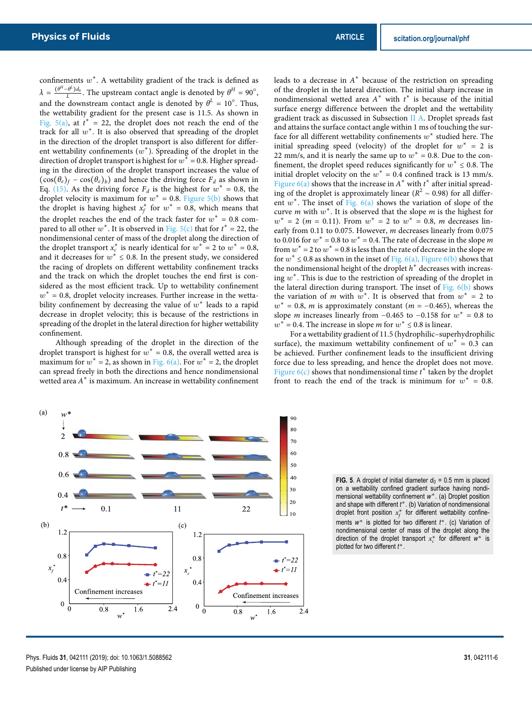confinements  $w^*$ . A wettability gradient of the track is defined as  $\lambda =$  $\frac{(\theta^H - \theta^L)d_0}{L}$ . The upstream contact angle is denoted by  $\theta^H = 90^\circ$ , and the downstream contact angle is denoted by  $\theta^L = 10^{\circ}$ . Thus, the wettability gradient for the present case is 11.5. As shown in Fig. 5(a), at  $t^* = 22$ , the droplet does not reach the end of the track for all  $w^*$ . It is also observed that spreading of the droplet in the direction of the droplet transport is also different for different wettability confinements  $(w^*)$ . Spreading of the droplet in the direction of droplet transport is highest for  $w^* = 0.8$ . Higher spreading in the direction of the droplet transport increases the value of  $(\cos(\theta_e)_f - \cos(\theta_e)_b)$  and hence the driving force  $F_d$  as shown in Eq. (15). As the driving force  $F_d$  is the highest for  $w^* = 0.8$ , the droplet velocity is maximum for  $w^* = 0.8$ . Figure 5(b) shows that the droplet is having highest  $x_f^*$  for  $w^* = 0.8$ , which means that the droplet reaches the end of the track faster for  $w^* = 0.8$  compared to all other  $w^*$ . It is observed in Fig. 5(c) that for  $t^* = 22$ , the nondimensional center of mass of the droplet along the direction of the droplet transport  $x_c^*$  is nearly identical for  $w^* = 2$  to  $w^* = 0.8$ , and it decreases for  $w^* \leq 0.8$ . In the present study, we considered the racing of droplets on different wettability confinement tracks and the track on which the droplet touches the end first is considered as the most efficient track. Up to wettability confinement  $w^*$  = 0.8, droplet velocity increases. Further increase in the wettability confinement by decreasing the value of  $w^*$  leads to a rapid decrease in droplet velocity; this is because of the restrictions in spreading of the droplet in the lateral direction for higher wettability confinement.

Although spreading of the droplet in the direction of the droplet transport is highest for  $w^* = 0.8$ , the overall wetted area is maximum for  $w^* = 2$ , as shown in Fig. 6(a). For  $w^* = 2$ , the droplet can spread freely in both the directions and hence nondimensional wetted area  $A^*$  is maximum. An increase in wettability confinement

leads to a decrease in  $A^*$  because of the restriction on spreading of the droplet in the lateral direction. The initial sharp increase in nondimensional wetted area  $A^*$  with  $t^*$  is because of the initial surface energy difference between the droplet and the wettability gradient track as discussed in Subsection II A. Droplet spreads fast and attains the surface contact angle within 1 ms of touching the surface for all different wettability confinements  $w^*$  studied here. The initial spreading speed (velocity) of the droplet for  $w^* = 2$  is 22 mm/s, and it is nearly the same up to  $w^* = 0.8$ . Due to the confinement, the droplet speed reduces significantly for  $w^* \le 0.8$ . The initial droplet velocity on the  $w^* = 0.4$  confined track is 13 mm/s. Figure 6(a) shows that the increase in  $A^*$  with  $t^*$  after initial spreading of the droplet is approximately linear ( $R^2 \sim 0.98$ ) for all different  $w^*$ . The inset of Fig.  $6(a)$  shows the variation of slope of the curve *m* with  $w^*$ . It is observed that the slope *m* is the highest for  $w^* = 2$  (*m* = 0.11). From  $w^* = 2$  to  $w^* = 0.8$ , *m* decreases linearly from 0.11 to 0.075. However, m decreases linearly from 0.075 to 0.016 for  $w^* = 0.8$  to  $w^* = 0.4$ . The rate of decrease in the slope m from  $w^* = 2$  to  $w^* = 0.8$  is less than the rate of decrease in the slope m for  $w^* \le 0.8$  as shown in the inset of Fig. 6(a). Figure 6(b) shows that the nondimensional height of the droplet  $h^*$  decreases with increasing  $w^*$ . This is due to the restriction of spreading of the droplet in the lateral direction during transport. The inset of Fig. 6(b) shows the variation of m with  $w^*$ . It is observed that from  $w^* = 2$  to  $w^* = 0.8$ , *m* is approximately constant (*m* = −0.465), whereas the slope *m* increases linearly from  $-0.465$  to  $-0.158$  for  $w^* = 0.8$  to  $w^* = 0.4$ . The increase in slope *m* for  $w^* \le 0.8$  is linear.

For a wettability gradient of 11.5 (hydrophilic–superhydrophilic surface), the maximum wettability confinement of  $w^* = 0.3$  can be achieved. Further confinement leads to the insufficient driving force due to less spreading, and hence the droplet does not move. Figure 6(c) shows that nondimensional time  $t^*$  taken by the droplet front to reach the end of the track is minimum for  $w^* = 0.8$ .



**FIG. 5**. A droplet of initial diameter  $d_0 = 0.5$  mm is placed on a wettability confined gradient surface having nondimensional wettability confinement w<sup>\*</sup>. (a) Droplet position and shape with different *t* ∗ . (b) Variation of nondimensional droplet front position  $x_f^*$  for different wettability confinements w<sup>\*</sup> is plotted for two different *t*<sup>\*</sup>. (c) Variation of nondimensional center of mass of the droplet along the direction of the droplet transport  $x_c^*$  for different  $w^*$  is plotted for two different *t* ∗ .

Phys. Fluids **31**, 042111 (2019); doi: 10.1063/1.5088562 **31**, 042111-6 Published under license by AIP Publishing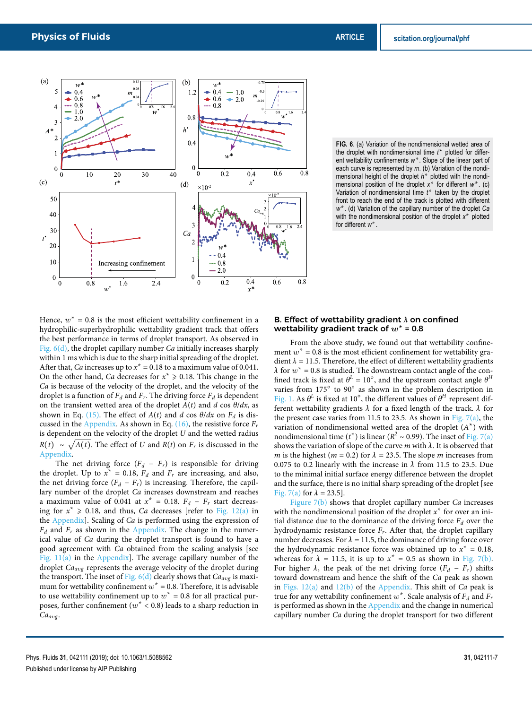

Hence,  $w^* = 0.8$  is the most efficient wettability confinement in a hydrophilic-superhydrophilic wettability gradient track that offers the best performance in terms of droplet transport. As observed in Fig. 6(d), the droplet capillary number Ca initially increases sharply within 1 ms which is due to the sharp initial spreading of the droplet. After that, *Ca* increases up to  $x^* = 0.18$  to a maximum value of 0.041. On the other hand, Ca decreases for  $x^* \ge 0.18$ . This change in the Ca is because of the velocity of the droplet, and the velocity of the droplet is a function of  $F_d$  and  $F_r$ . The driving force  $F_d$  is dependent on the transient wetted area of the droplet  $A(t)$  and d cos  $\theta/dx$ , as shown in Eq. (15). The effect of  $A(t)$  and d cos  $\theta/dx$  on  $F_d$  is discussed in the Appendix. As shown in Eq.  $(16)$ , the resistive force  $F_r$ is dependent on the velocity of the droplet  $U$  and the wetted radius  $R(t) \sim \sqrt{A(t)}$ . The effect of U and  $R(t)$  on  $F_r$  is discussed in the Appendix.

The net driving force  $(F_d - F_r)$  is responsible for driving the droplet. Up to  $x^* = 0.18$ ,  $F_d$  and  $F_r$  are increasing, and also, the net driving force  $(F_d - F_r)$  is increasing. Therefore, the capillary number of the droplet Ca increases downstream and reaches a maximum value of 0.041 at  $x^* = 0.18$ .  $F_d - F_r$  start decreasing for  $x^* \ge 0.18$ , and thus, Ca decreases [refer to Fig. 12(a) in the Appendix]. Scaling of Ca is performed using the expression of  $F_d$  and  $F_r$  as shown in the Appendix. The change in the numerical value of Ca during the droplet transport is found to have a good agreement with Ca obtained from the scaling analysis [see Fig.  $11(a)$  in the Appendix]. The average capillary number of the droplet Ca<sub>avg</sub> represents the average velocity of the droplet during the transport. The inset of Fig.  $6(d)$  clearly shows that  $Ca_{avg}$  is maximum for wettability confinement  $w^* = 0.8$ . Therefore, it is advisable to use wettability confinement up to  $w^* = 0.8$  for all practical purposes, further confinement ( $w^* < 0.8$ ) leads to a sharp reduction in Ca<sub>avg</sub>.

**FIG. 6**. (a) Variation of the nondimensional wetted area of the droplet with nondimensional time *t* ∗ plotted for different wettability confinements w<sup>\*</sup>. Slope of the linear part of each curve is represented by *m*. (b) Variation of the nondimensional height of the droplet *h*<sup>\*</sup> plotted with the nondimensional position of the droplet *x*<sup>\*</sup> for different *w*<sup>\*</sup>. (c) Variation of nondimensional time *t* ∗ taken by the droplet front to reach the end of the track is plotted with different *w* ∗ . (d) Variation of the capillary number of the droplet *Ca* with the nondimensional position of the droplet x<sup>\*</sup> plotted for different *w* ∗ .

## B. Effect of wettability gradient **λ** on confined wettability gradient track of w**<sup>∗</sup>** = 0.8

From the above study, we found out that wettability confinement  $w^* = 0.8$  is the most efficient confinement for wettability gradient  $\lambda = 11.5$ . Therefore, the effect of different wettability gradients  $\lambda$  for  $w^* = 0.8$  is studied. The downstream contact angle of the confined track is fixed at  $\theta^L = 10^\circ$ , and the upstream contact angle  $\theta^H$ varies from 175° to 90° as shown in the problem description in Fig. 1. As  $\theta^L$  is fixed at 10°, the different values of  $\theta^H$  represent different wettability gradients  $\lambda$  for a fixed length of the track.  $\lambda$  for the present case varies from 11.5 to 23.5. As shown in Fig.  $7(a)$ , the variation of nondimensional wetted area of the droplet  $(A^*)$  with nondimensional time ( $t^*$ ) is linear ( $R^2 \sim 0.99$ ). The inset of Fig. 7(a) shows the variation of slope of the curve  $m$  with  $\lambda$ . It is observed that m is the highest ( $m = 0.2$ ) for  $\lambda = 23.5$ . The slope m increases from 0.075 to 0.2 linearly with the increase in  $\lambda$  from 11.5 to 23.5. Due to the minimal initial surface energy difference between the droplet and the surface, there is no initial sharp spreading of the droplet [see Fig. 7(a) for  $\lambda = 23.5$ .

Figure  $7(b)$  shows that droplet capillary number Ca increases with the nondimensional position of the droplet  $x^*$  for over an initial distance due to the dominance of the driving force  $F_d$  over the hydrodynamic resistance force  $F_r$ . After that, the droplet capillary number decreases. For  $\lambda = 11.5$ , the dominance of driving force over the hydrodynamic resistance force was obtained up to  $x^* = 0.18$ , whereas for  $\lambda = 11.5$ , it is up to  $x^* = 0.5$  as shown in Fig. 7(b). For higher  $\lambda$ , the peak of the net driving force  $(F_d - F_r)$  shifts toward downstream and hence the shift of the Ca peak as shown in Figs.  $12(a)$  and  $12(b)$  of the Appendix. This shift of *Ca* peak is true for any wettability confinement  $w^*$ . Scale analysis of  $F_d$  and  $F_r$ is performed as shown in the Appendix and the change in numerical capillary number Ca during the droplet transport for two different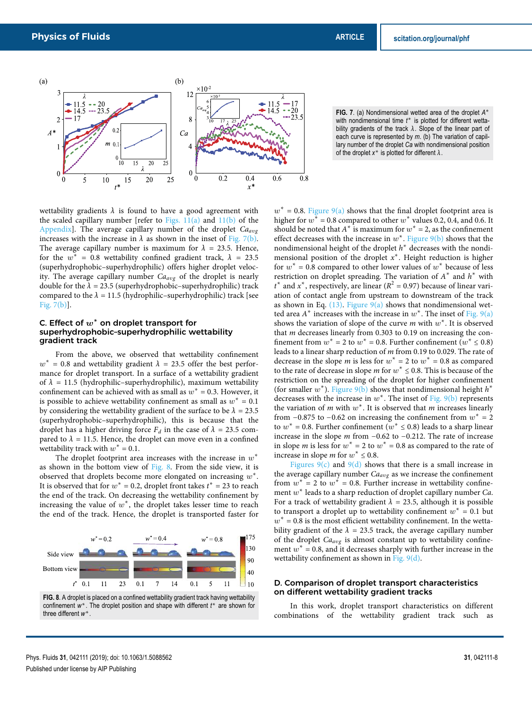

**FIG. 7**. (a) Nondimensional wetted area of the droplet *A* ∗ with nondimensional time t<sup>\*</sup> is plotted for different wettability gradients of the track  $\lambda$ . Slope of the linear part of each curve is represented by *m*. (b) The variation of capillary number of the droplet *Ca* with nondimensional position of the droplet  $x^*$  is plotted for different  $\lambda$ .

wettability gradients  $\lambda$  is found to have a good agreement with the scaled capillary number [refer to Figs.  $11(a)$  and  $11(b)$  of the Appendix]. The average capillary number of the droplet  $Ca_{avg}$ increases with the increase in  $\lambda$  as shown in the inset of Fig. 7(b). The average capillary number is maximum for  $\lambda = 23.5$ . Hence, for the  $w^* = 0.8$  wettability confined gradient track,  $\lambda = 23.5$ (superhydrophobic–superhydrophilic) offers higher droplet velocity. The average capillary number  $Ca_{avg}$  of the droplet is nearly double for the  $\lambda = 23.5$  (superhydrophobic–superhydrophilic) track compared to the  $\lambda = 11.5$  (hydrophilic–superhydrophilic) track [see Fig. 7(b)].

# C. Effect of w**<sup>∗</sup>** on droplet transport for superhydrophobic–superhydrophilic wettability gradient track

From the above, we observed that wettability confinement  $w^* = 0.8$  and wettability gradient  $\lambda = 23.5$  offer the best performance for droplet transport. In a surface of a wettability gradient of  $\lambda = 11.5$  (hydrophilic–superhydrophilic), maximum wettability confinement can be achieved with as small as  $w^* = 0.3$ . However, it is possible to achieve wettability confinement as small as  $w^* = 0.1$ by considering the wettability gradient of the surface to be  $\lambda = 23.5$ (superhydrophobic–superhydrophilic), this is because that the droplet has a higher driving force  $F_d$  in the case of  $\lambda = 23.5$  compared to  $\lambda = 11.5$ . Hence, the droplet can move even in a confined wettability track with  $w^* = 0.1$ .

The droplet footprint area increases with the increase in  $w^*$ as shown in the bottom view of Fig. 8. From the side view, it is observed that droplets become more elongated on increasing  $w^*$ . It is observed that for  $w^* = 0.2$ , droplet front takes  $t^* = 23$  to reach the end of the track. On decreasing the wettability confinement by increasing the value of  $w^*$ , the droplet takes lesser time to reach the end of the track. Hence, the droplet is transported faster for



**FIG. 8**. A droplet is placed on a confined wettability gradient track having wettability confinement *w* ∗ . The droplet position and shape with different *t* ∗ are shown for three different *w* ∗ .

 $w^* = 0.8$ . Figure 9(a) shows that the final droplet footprint area is higher for  $w^* = 0.8$  compared to other  $w^*$  values 0.2, 0.4, and 0.6. It should be noted that  $A^*$  is maximum for  $w^* = 2$ , as the confinement effect decreases with the increase in  $w^*$ . Figure  $9(b)$  shows that the nondimensional height of the droplet  $h^*$  decreases with the nondimensional position of the droplet  $x^*$ . Height reduction is higher for  $w^* = 0.8$  compared to other lower values of  $w^*$  because of less restriction on droplet spreading. The variation of  $A^*$  and  $h^*$  with  $t^*$  and  $x^*$ , respectively, are linear ( $R^2 = 0.97$ ) because of linear variation of contact angle from upstream to downstream of the track as shown in Eq.  $(13)$ . Figure  $9(a)$  shows that nondimensional wetted area  $A^*$  increases with the increase in  $w^*$ . The inset of Fig. 9(a) shows the variation of slope of the curve  $m$  with  $w^*$ . It is observed that m decreases linearly from 0.303 to 0.19 on increasing the confinement from  $w^* = 2$  to  $w^* = 0.8$ . Further confinement  $(w^* \le 0.8)$ leads to a linear sharp reduction of m from 0.19 to 0.029. The rate of decrease in the slope *m* is less for  $w^* = 2$  to  $w^* = 0.8$  as compared to the rate of decrease in slope *m* for  $w^* \le 0.8$ . This is because of the restriction on the spreading of the droplet for higher confinement (for smaller  $w^*$ ). Figure 9(b) shows that nondimensional height  $h^*$ decreases with the increase in  $w^*$ . The inset of Fig. 9(b) represents the variation of m with  $w^*$ . It is observed that m increases linearly from  $-0.875$  to  $-0.62$  on increasing the confinement from  $w^* = 2$ to  $w^* = 0.8$ . Further confinement  $(w^* \le 0.8)$  leads to a sharp linear increase in the slope m from −0.62 to −0.212. The rate of increase in slope *m* is less for  $w^* = 2$  to  $w^* = 0.8$  as compared to the rate of increase in slope *m* for  $w^* \le 0.8$ .

Figures  $9(c)$  and  $9(d)$  shows that there is a small increase in the average capillary number  $Ca_{avg}$  as we increase the confinement from  $w^* = 2$  to  $w^* = 0.8$ . Further increase in wettability confinement  $w^*$  leads to a sharp reduction of droplet capillary number Ca. For a track of wettability gradient  $\lambda = 23.5$ , although it is possible to transport a droplet up to wettability confinement  $w^* = 0.1$  but  $w^* = 0.8$  is the most efficient wettability confinement. In the wettability gradient of the  $\lambda = 23.5$  track, the average capillary number of the droplet  $Ca_{avg}$  is almost constant up to wettability confinement  $w^* = 0.8$ , and it decreases sharply with further increase in the wettability confinement as shown in Fig. 9(d).

## D. Comparison of droplet transport characteristics on different wettability gradient tracks

In this work, droplet transport characteristics on different combinations of the wettability gradient track such as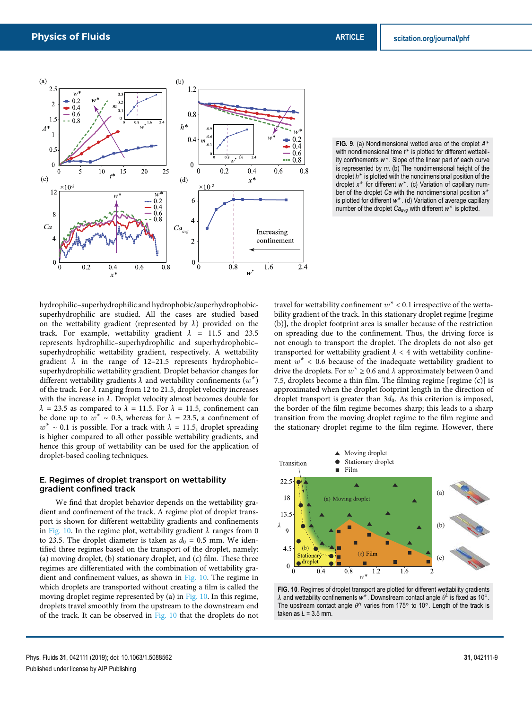

**FIG. 9**. (a) Nondimensional wetted area of the droplet *A* ∗ with nondimensional time t<sup>\*</sup> is plotted for different wettability confinements *w* ∗ . Slope of the linear part of each curve is represented by *m*. (b) The nondimensional height of the droplet *h* ∗ is plotted with the nondimensional position of the droplet *x* ∗ for different *w* ∗ . (c) Variation of capillary number of the droplet *Ca* with the nondimensional position x<sup>\*</sup> is plotted for different *w* ∗ . (d) Variation of average capillary number of the droplet *Ca<sub>avg</sub>* with different *w*<sup>∗</sup> is plotted.

hydrophilic–superhydrophilic and hydrophobic/superhydrophobicsuperhydrophilic are studied. All the cases are studied based on the wettability gradient (represented by  $\lambda$ ) provided on the track. For example, wettability gradient  $\lambda$  = 11.5 and 23.5 represents hydrophilic–superhydrophilic and superhydrophobic– superhydrophilic wettability gradient, respectively. A wettability gradient  $\lambda$  in the range of 12–21.5 represents hydrophobic– superhydrophilic wettability gradient. Droplet behavior changes for different wettability gradients  $\lambda$  and wettability confinements  $(w^*)$ of the track. For  $\lambda$  ranging from 12 to 21.5, droplet velocity increases with the increase in  $\lambda$ . Droplet velocity almost becomes double for  $\lambda$  = 23.5 as compared to  $\lambda$  = 11.5. For  $\lambda$  = 11.5, confinement can be done up to  $w^* \sim 0.3$ , whereas for  $\lambda = 23.5$ , a confinement of  $w^* \sim 0.1$  is possible. For a track with  $\lambda = 11.5$ , droplet spreading is higher compared to all other possible wettability gradients, and hence this group of wettability can be used for the application of droplet-based cooling techniques.

# E. Regimes of droplet transport on wettability gradient confined track

We find that droplet behavior depends on the wettability gradient and confinement of the track. A regime plot of droplet transport is shown for different wettability gradients and confinements in Fig. 10. In the regime plot, wettability gradient  $\lambda$  ranges from 0 to 23.5. The droplet diameter is taken as  $d_0 = 0.5$  mm. We identified three regimes based on the transport of the droplet, namely: (a) moving droplet, (b) stationary droplet, and (c) film. These three regimes are differentiated with the combination of wettability gradient and confinement values, as shown in Fig. 10. The regime in which droplets are transported without creating a film is called the moving droplet regime represented by (a) in Fig. 10. In this regime, droplets travel smoothly from the upstream to the downstream end of the track. It can be observed in Fig. 10 that the droplets do not

travel for wettability confinement  $w^* < 0.1$  irrespective of the wettability gradient of the track. In this stationary droplet regime [regime] (b)], the droplet footprint area is smaller because of the restriction on spreading due to the confinement. Thus, the driving force is not enough to transport the droplet. The droplets do not also get transported for wettability gradient  $\lambda < 4$  with wettability confinement  $w^*$  < 0.6 because of the inadequate wettability gradient to drive the droplets. For  $w^* \ge 0.6$  and  $\lambda$  approximately between 0 and 7.5, droplets become a thin film. The filming regime [regime (c)] is approximated when the droplet footprint length in the direction of droplet transport is greater than  $3d_0$ . As this criterion is imposed, the border of the film regime becomes sharp; this leads to a sharp transition from the moving droplet regime to the film regime and the stationary droplet regime to the film regime. However, there



FIG. 10. Regimes of droplet transport are plotted for different wettability gradients λ and wettability confinements w<sup>\*</sup>. Downstream contact angle θ<sup>L</sup> is fixed as 10<sup>o</sup>. The upstream contact angle  $\theta^H$  varies from 175° to 10°. Length of the track is taken as *L* = 3.5 mm.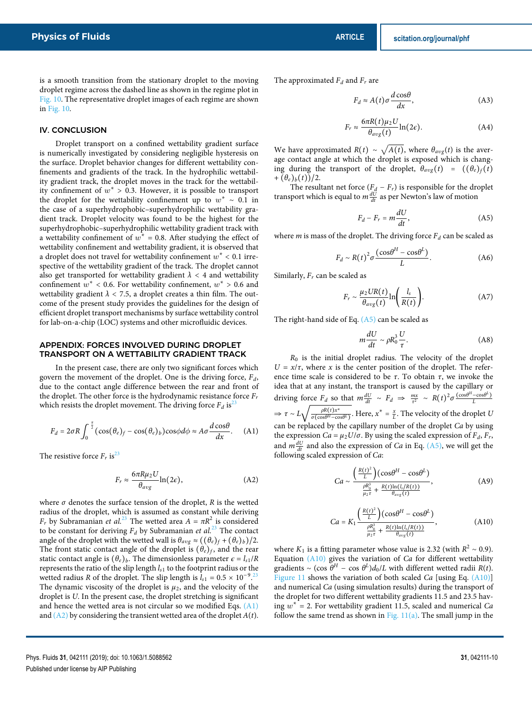is a smooth transition from the stationary droplet to the moving droplet regime across the dashed line as shown in the regime plot in Fig. 10. The representative droplet images of each regime are shown in Fig. 10.

# IV. CONCLUSION

Droplet transport on a confined wettability gradient surface is numerically investigated by considering negligible hysteresis on the surface. Droplet behavior changes for different wettability confinements and gradients of the track. In the hydrophilic wettability gradient track, the droplet moves in the track for the wettability confinement of  $w^* > 0.3$ . However, it is possible to transport the droplet for the wettability confinement up to  $w^* \sim 0.1$  in the case of a superhydrophobic–superhydrophilic wettability gradient track. Droplet velocity was found to be the highest for the superhydrophobic–superhydrophilic wettability gradient track with a wettability confinement of  $w^* = 0.8$ . After studying the effect of wettability confinement and wettability gradient, it is observed that a droplet does not travel for wettability confinement  $w^* < 0.1$  irrespective of the wettability gradient of the track. The droplet cannot also get transported for wettability gradient  $\lambda < 4$  and wettability confinement  $w^*$  < 0.6. For wettability confinement,  $w^*$  > 0.6 and wettability gradient  $\lambda$  < 7.5, a droplet creates a thin film. The outcome of the present study provides the guidelines for the design of efficient droplet transport mechanisms by surface wettability control for lab-on-a-chip (LOC) systems and other microfluidic devices.

### APPENDIX: FORCES INVOLVED DURING DROPLET TRANSPORT ON A WETTABILITY GRADIENT TRACK

In the present case, there are only two significant forces which govern the movement of the droplet. One is the driving force,  $F_d$ , due to the contact angle difference between the rear and front of the droplet. The other force is the hydrodynamic resistance force  $F_r$ which resists the droplet movement. The driving force  $F_d$  is<sup>23</sup>

$$
F_d = 2\sigma R \int_0^{\frac{\pi}{2}} (\cos(\theta_e)_f - \cos(\theta_e)_b) \cos\phi d\phi \approx A\sigma \frac{d \cos\theta}{dx}.
$$
 (A1)

The resistive force  $F_r$  is<sup>23</sup>

$$
F_r \approx \frac{6\pi R \mu_2 U}{\theta_{avg}} \ln(2\epsilon),\tag{A2}
$$

where  $\sigma$  denotes the surface tension of the droplet, R is the wetted radius of the droplet, which is assumed as constant while deriving  $F_r$  by Subramanian *et al.*<sup>23</sup> The wetted area  $A = \pi R^2$  is considered to be constant for deriving  $F_d$  by Subramanian et al.<sup>23</sup> The contact angle of the droplet with the wetted wall is  $\theta_{avg} \approx ((\theta_e)_f + (\theta_e)_b)/2$ . The front static contact angle of the droplet is  $(\theta_e)_f$ , and the rear static contact angle is  $(\theta_e)_b$ . The dimensionless parameter  $\epsilon = l_{s1}/R$ represents the ratio of the slip length  $l_{s1}$  to the footprint radius or the wetted radius R of the droplet. The slip length is  $l_{s1} = 0.5 \times 10^{-9}$  <sup>23</sup> The dynamic viscosity of the droplet is  $\mu_2$ , and the velocity of the droplet is U. In the present case, the droplet stretching is significant and hence the wetted area is not circular so we modified Eqs. (A1) and  $(A2)$  by considering the transient wetted area of the droplet  $A(t)$ . The approximated  $F_d$  and  $F_r$  are

$$
F_d \approx A(t)\sigma \frac{d\cos\theta}{dx},\tag{A3}
$$

$$
F_r \approx \frac{6\pi R(t)\mu_2 U}{\theta_{avg}(t)} \ln(2\epsilon). \tag{A4}
$$

We have approximated  $R(t) \sim \sqrt{A(t)}$ , where  $\theta_{avg}(t)$  is the average contact angle at which the droplet is exposed which is changing during the transport of the droplet,  $\theta_{avg}(t) = ((\theta_e)_f(t))$  $+(\theta_e)_b(t))/2.$ 

The resultant net force  $(F_d - F_r)$  is responsible for the droplet transport which is equal to  $m \frac{dU}{dt}$  as per Newton's law of motion

$$
F_d - F_r = m \frac{dU}{dt},
$$
 (A5)

where *m* is mass of the droplet. The driving force  $F_d$  can be scaled as

$$
F_d \sim R(t)^2 \sigma \frac{(\cos \theta^H - \cos \theta^L)}{L}.
$$
 (A6)

Similarly,  $F_r$  can be scaled as

$$
F_r \sim \frac{\mu_2 U R(t)}{\theta_{avg}(t)} \ln\left(\frac{l_s}{R(t)}\right). \tag{A7}
$$

The right-hand side of Eq.  $(A5)$  can be scaled as

$$
m\frac{dU}{dt} \sim \rho R_0^3 \frac{U}{\tau}.
$$
 (A8)

 $R_0$  is the initial droplet radius. The velocity of the droplet  $U = x/\tau$ , where x is the center position of the droplet. The reference time scale is considered to be  $\tau$ . To obtain  $\tau$ , we invoke the idea that at any instant, the transport is caused by the capillary or driving force  $F_d$  so that  $m \frac{dU}{dt} \sim F_d \Rightarrow \frac{mx}{\tau^2} \sim R(t)^2 \sigma \frac{(\cos \theta^H - \cos \theta^L)}{L}$  $\Rightarrow \tau \sim L \sqrt{\frac{\rho R(t) x^*}{\sigma(\cos \theta^H - \cos \theta)}}$  $\frac{\rho R(t)x^*}{\sigma(\cos\theta^H-\cos\theta^L)}$ . Here,  $x^*=\frac{x}{L}$ . The velocity of the droplet U can be replaced by the capillary number of the droplet Ca by using the expression  $Ca = \mu_2 U/\sigma$ . By using the scaled expression of  $F_d$ ,  $F_r$ , and  $m \frac{dU}{dt}$  and also the expression of *Ca* in Eq. (A5), we will get the following scaled expression of Ca:

$$
Ca \sim \frac{\left(\frac{R(t)^2}{L}\right)(\cos\theta^H - \cos\theta^L)}{\frac{\rho R_0^3}{\mu_2 \tau} + \frac{R(t)\ln(l_s/R(t))}{\theta_{avg}(t)}},
$$
(A9)

$$
Ca = K_1 \frac{\left(\frac{R(t)^2}{L}\right) (\cos \theta^H - \cos \theta^L)}{\frac{\rho R_0^3}{\mu_2 \tau} + \frac{R(t) \ln(l_s/R(t))}{\theta_{avg}(t)}},
$$
(A10)

where  $K_1$  is a fitting parameter whose value is 2.32 (with  $R^2 \sim 0.9$ ). Equation (A10) gives the variation of Ca for different wettability gradients ~ (cos  $\theta^H$  – cos  $\theta^L$ ) $d_0/L$  with different wetted radii  $R(t)$ . Figure 11 shows the variation of both scaled Ca [using Eq. (A10)] and numerical Ca (using simulation results) during the transport of the droplet for two different wettability gradients 11.5 and 23.5 having  $w^* = 2$ . For wettability gradient 11.5, scaled and numerical Ca follow the same trend as shown in Fig. 11(a). The small jump in the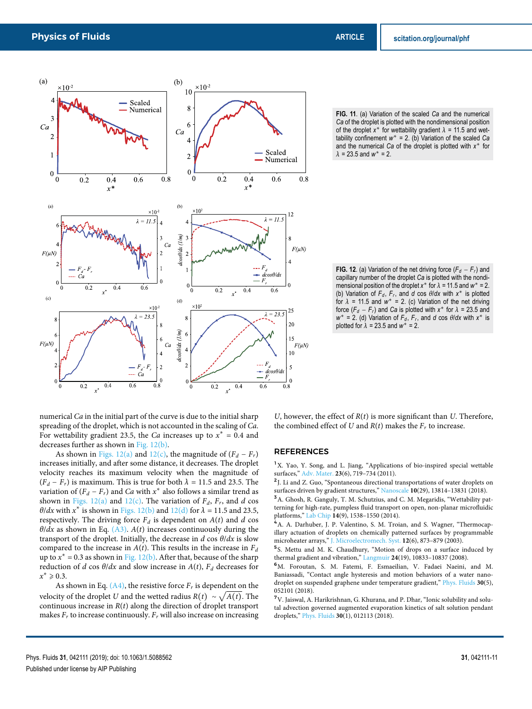

**FIG. 11**. (a) Variation of the scaled *Ca* and the numerical *Ca* of the droplet is plotted with the nondimensional position of the droplet  $x^*$  for wettability gradient  $\lambda = 11.5$  and wettability confinement  $w^* = 2$ . (b) Variation of the scaled *Ca* and the numerical *Ca* of the droplet is plotted with *x* ∗ for  $\lambda = 23.5$  and  $w^* = 2$ .

**FIG. 12**. (a) Variation of the net driving force  $(F_d - F_r)$  and capillary number of the droplet *Ca* is plotted with the nondimensional position of the droplet  $x^*$  for  $\lambda = 11.5$  and  $w^* = 2$ . (b) Variation of  $F_d$ ,  $F_r$ , and *d* cos  $\theta/dx$  with  $x^*$  is plotted for  $\lambda$  = 11.5 and  $w^*$  = 2. (c) Variation of the net driving force  $(F_d - F_r)$  and *Ca* is plotted with  $x^*$  for  $\lambda = 23.5$  and  $w^* = 2$ . (d) Variation of  $F_d$ ,  $F_r$ , and *d* cos  $\theta$ /*dx* with *x*<sup>\*</sup> is plotted for  $\lambda = 23.5$  and  $w^* = 2$ .

numerical Ca in the initial part of the curve is due to the initial sharp spreading of the droplet, which is not accounted in the scaling of Ca. For wettability gradient 23.5, the *Ca* increases up to  $x^* = 0.4$  and decreases further as shown in Fig. 12(b).

As shown in Figs. 12(a) and 12(c), the magnitude of  $(F_d - F_r)$ increases initially, and after some distance, it decreases. The droplet velocity reaches its maximum velocity when the magnitude of  $(F_d - F_r)$  is maximum. This is true for both  $\lambda = 11.5$  and 23.5. The variation of  $(F_d - F_r)$  and  $Ca$  with  $x^*$  also follows a similar trend as shown in Figs. 12(a) and 12(c). The variation of  $F_d$ ,  $F_r$ , and d cos  $\theta/dx$  with  $x^*$  is shown in Figs. 12(b) and 12(d) for  $\lambda = 11.5$  and 23.5, respectively. The driving force  $F_d$  is dependent on  $A(t)$  and d cos  $\theta/dx$  as shown in Eq. (A3). A(t) increases continuously during the transport of the droplet. Initially, the decrease in  $d \cos \theta/dx$  is slow compared to the increase in  $A(t)$ . This results in the increase in  $F_d$ up to  $x^* = 0.3$  as shown in Fig. 12(b). After that, because of the sharp reduction of d cos  $\theta/dx$  and slow increase in  $A(t)$ ,  $F_d$  decreases for  $x^* \ge 0.3$ .

As shown in Eq.  $(A4)$ , the resistive force  $F<sub>r</sub>$  is dependent on the velocity of the droplet U and the wetted radius  $R(t) \sim \sqrt{A(t)}$ . The continuous increase in  $R(t)$  along the direction of droplet transport makes  $F_r$  to increase continuously.  $F_r$  will also increase on increasing U, however, the effect of  $R(t)$  is more significant than U. Therefore, the combined effect of U and  $R(t)$  makes the  $F<sub>r</sub>$  to increase.

# **REFERENCES**

<sup>1</sup>X. Yao, Y. Song, and L. Jiang, "Applications of bio-inspired special wettable surfaces," Adv. Mater. **23**(6), 719–734 (2011).

<sup>2</sup>J. Li and Z. Guo, "Spontaneous directional transportations of water droplets on surfaces driven by gradient structures," Nanoscale **10**(29), 13814–13831 (2018).

<sup>3</sup>A. Ghosh, R. Ganguly, T. M. Schutzius, and C. M. Megaridis, "Wettability patterning for high-rate, pumpless fluid transport on open, non-planar microfluidic platforms," Lab Chip **14**(9), 1538–1550 (2014).

A. A. Darhuber, J. P. Valentino, S. M. Troian, and S. Wagner, "Thermocapillary actuation of droplets on chemically patterned surfaces by programmable microheater arrays," J. Microelectromech. Syst. **12**(6), 873–879 (2003).

5 S. Mettu and M. K. Chaudhury, "Motion of drops on a surface induced by thermal gradient and vibration," Langmuir **24**(19), 10833–10837 (2008).

<sup>6</sup>M. Foroutan, S. M. Fatemi, F. Esmaeilian, V. Fadaei Naeini, and M. Baniassadi, "Contact angle hysteresis and motion behaviors of a water nanodroplet on suspended graphene under temperature gradient," Phys. Fluids **30**(5), 052101 (2018).

 ${\rm ^7V.}$  Jaiswal, A. Harikrishnan, G. Khurana, and P. Dhar, "Ionic solubility and solutal advection governed augmented evaporation kinetics of salt solution pendant droplets," Phys. Fluids **30**(1), 012113 (2018).